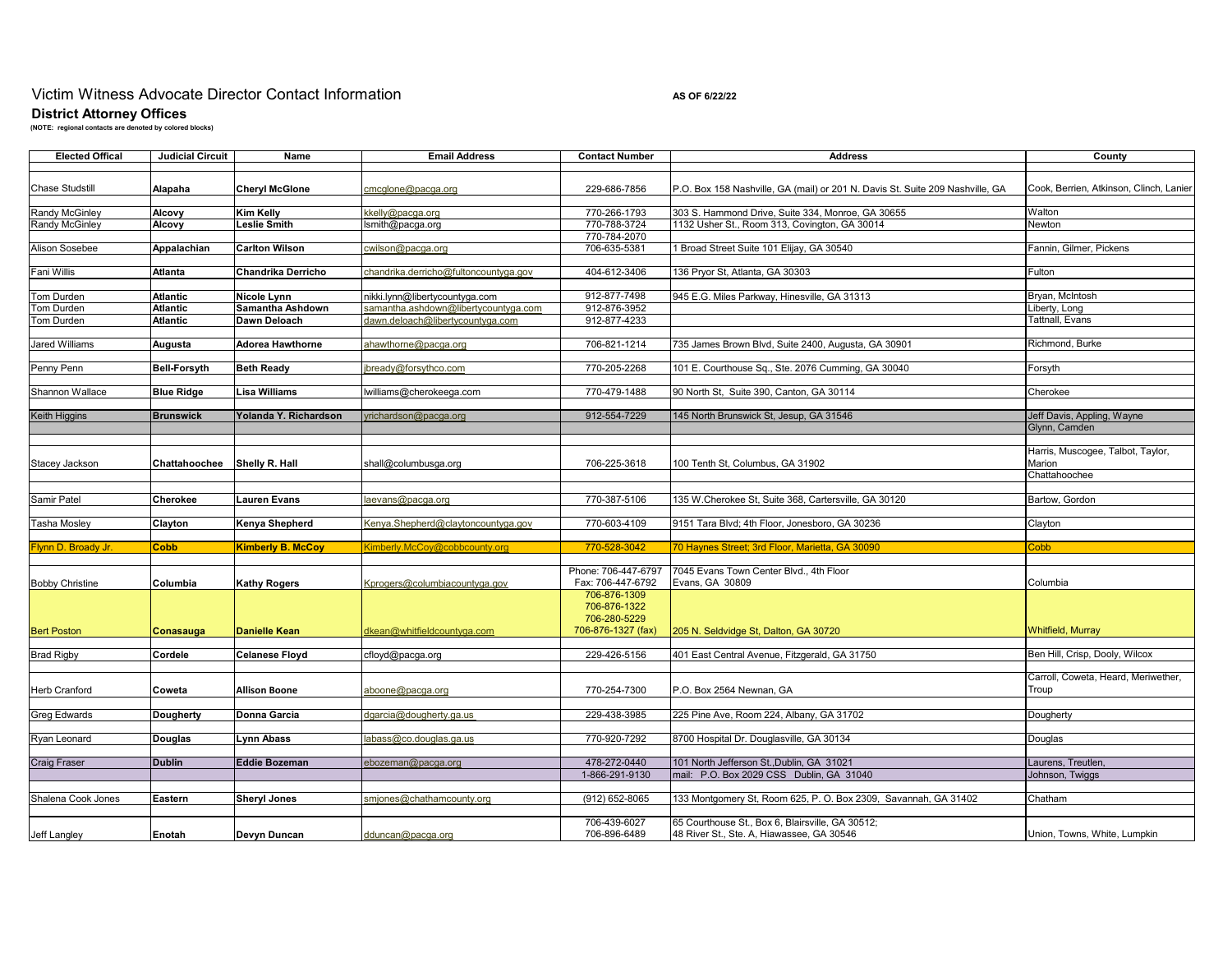# Victim Witness Advocate Director Contact Information **AS OF 6/22/22** As of 6/22/22

**District Attorney Offices (NOTE: regional contacts are denoted by colored blocks)**

| <b>Elected Offical</b>           | <b>Judicial Circuit</b> | Name                                    | <b>Email Address</b>                                                                                                                                            | <b>Contact Number</b>        | <b>Address</b>                                                                                     | County                                  |
|----------------------------------|-------------------------|-----------------------------------------|-----------------------------------------------------------------------------------------------------------------------------------------------------------------|------------------------------|----------------------------------------------------------------------------------------------------|-----------------------------------------|
|                                  |                         |                                         |                                                                                                                                                                 |                              |                                                                                                    |                                         |
| <b>Chase Studstill</b>           | Alapaha                 | <b>Cheryl McGlone</b>                   | cmcglone@pacga.org                                                                                                                                              | 229-686-7856                 | P.O. Box 158 Nashville, GA (mail) or 201 N. Davis St. Suite 209 Nashville, GA                      | Cook, Berrien, Atkinson, Clinch, Lanier |
|                                  |                         |                                         |                                                                                                                                                                 |                              |                                                                                                    |                                         |
| Randy McGinley<br>Randy McGinley | Alcovy                  | <b>Kim Kelly</b><br><b>Leslie Smith</b> | kkelly@pacga.org                                                                                                                                                | 770-266-1793<br>770-788-3724 | 303 S. Hammond Drive, Suite 334, Monroe, GA 30655<br>1132 Usher St., Room 313, Covington, GA 30014 | Walton<br>Newton                        |
|                                  | Alcovy                  |                                         | lsmith@pacga.org                                                                                                                                                | 770-784-2070                 |                                                                                                    |                                         |
| <b>Alison Sosebee</b>            | Appalachian             | <b>Carlton Wilson</b>                   | cwilson@pacga.org                                                                                                                                               | 706-635-5381                 | 1 Broad Street Suite 101 Elijay, GA 30540                                                          | Fannin, Gilmer, Pickens                 |
|                                  |                         |                                         |                                                                                                                                                                 |                              |                                                                                                    |                                         |
| Fani Willis                      | <b>Atlanta</b>          | Chandrika Derricho                      | chandrika.derricho@fultoncountyga.gov                                                                                                                           | 404-612-3406                 | 136 Pryor St, Atlanta, GA 30303                                                                    | Fulton                                  |
|                                  |                         |                                         |                                                                                                                                                                 |                              |                                                                                                    |                                         |
| Tom Durden                       | <b>Atlantic</b>         | Nicole Lynn                             | nikki.lynn@libertycountyga.com                                                                                                                                  | 912-877-7498                 | 945 E.G. Miles Parkway, Hinesville, GA 31313                                                       | Bryan, McIntosh                         |
| Tom Durden                       | <b>Atlantic</b>         | Samantha Ashdown                        | samantha.ashdown@libertycountyga.com                                                                                                                            | 912-876-3952                 |                                                                                                    | Liberty, Long                           |
| Tom Durden                       | <b>Atlantic</b>         | Dawn Deloach                            | dawn.deloach@libertycountyga.com                                                                                                                                | 912-877-4233                 |                                                                                                    | Tattnall, Evans                         |
|                                  |                         |                                         |                                                                                                                                                                 |                              |                                                                                                    |                                         |
| Jared Williams                   | Augusta                 | <b>Adorea Hawthorne</b>                 | ahawthorne@pacga.org                                                                                                                                            | 706-821-1214                 | 735 James Brown Blvd, Suite 2400, Augusta, GA 30901                                                | Richmond, Burke                         |
| Penny Penn                       | <b>Bell-Forsyth</b>     | <b>Beth Ready</b>                       | ibready@forsythco.com                                                                                                                                           | 770-205-2268                 | 101 E. Courthouse Sq., Ste. 2076 Cumming, GA 30040                                                 | Forsyth                                 |
|                                  |                         |                                         |                                                                                                                                                                 |                              |                                                                                                    |                                         |
| Shannon Wallace                  | <b>Blue Ridge</b>       | <b>Lisa Williams</b>                    | lwilliams@cherokeega.com                                                                                                                                        | 770-479-1488                 | 90 North St, Suite 390, Canton, GA 30114                                                           | Cherokee                                |
|                                  |                         |                                         |                                                                                                                                                                 |                              |                                                                                                    |                                         |
| Keith Higgins                    | <b>Brunswick</b>        | Yolanda Y. Richardson                   | yrichardson@pacqa.orq                                                                                                                                           | 912-554-7229                 | 145 North Brunswick St, Jesup, GA 31546                                                            | Jeff Davis, Appling, Wayne              |
|                                  |                         |                                         |                                                                                                                                                                 |                              |                                                                                                    | Glynn, Camden                           |
|                                  |                         |                                         |                                                                                                                                                                 |                              |                                                                                                    |                                         |
|                                  |                         |                                         |                                                                                                                                                                 |                              |                                                                                                    | Harris, Muscogee, Talbot, Taylor,       |
| Stacey Jackson                   | Chattahoochee           | Shelly R. Hall                          | shall@columbusga.org                                                                                                                                            | 706-225-3618                 | 100 Tenth St, Columbus, GA 31902                                                                   | Marion                                  |
|                                  |                         |                                         |                                                                                                                                                                 |                              |                                                                                                    | Chattahoochee                           |
| Samir Patel                      | Cherokee                | <b>Lauren Evans</b>                     | laevans@pacga.org                                                                                                                                               | 770-387-5106                 | 135 W.Cherokee St, Suite 368, Cartersville, GA 30120                                               | Bartow, Gordon                          |
|                                  |                         |                                         |                                                                                                                                                                 |                              |                                                                                                    |                                         |
| Tasha Mosley                     | Clayton                 | Kenya Shepherd                          | Kenya.Shepherd@claytoncountyga.gov                                                                                                                              | 770-603-4109                 | 9151 Tara Blvd; 4th Floor, Jonesboro, GA 30236                                                     | Clayton                                 |
|                                  |                         |                                         |                                                                                                                                                                 |                              |                                                                                                    |                                         |
| Flynn D. Broady Jr.              | <b>Cobb</b>             | <b>Kimberly B. McCoy</b>                | <imberly.mccov@cobbcounty.org< td=""><td>770-528-3042</td><td>70 Havnes Street: 3rd Floor, Marietta, GA 30090</td><td>Cobb</td></imberly.mccov@cobbcounty.org<> | 770-528-3042                 | 70 Havnes Street: 3rd Floor, Marietta, GA 30090                                                    | Cobb                                    |
|                                  |                         |                                         |                                                                                                                                                                 |                              |                                                                                                    |                                         |
|                                  |                         |                                         |                                                                                                                                                                 | Phone: 706-447-6797          | 7045 Evans Town Center Blvd., 4th Floor                                                            |                                         |
| <b>Bobby Christine</b>           | Columbia                | <b>Kathy Rogers</b>                     | Kprogers@columbiacountyga.gov                                                                                                                                   | Fax: 706-447-6792            | Evans, GA 30809                                                                                    | Columbia                                |
|                                  |                         |                                         |                                                                                                                                                                 | 706-876-1309                 |                                                                                                    |                                         |
|                                  |                         |                                         |                                                                                                                                                                 | 706-876-1322<br>706-280-5229 |                                                                                                    |                                         |
| <b>Bert Poston</b>               | Conasauga               | <b>Danielle Kean</b>                    | dkean@whitfieldcountyga.com                                                                                                                                     | 706-876-1327 (fax)           | 205 N. Seldvidge St, Dalton, GA 30720                                                              | <b>Whitfield, Murray</b>                |
|                                  |                         |                                         |                                                                                                                                                                 |                              |                                                                                                    |                                         |
| <b>Brad Rigby</b>                | Cordele                 | <b>Celanese Floyd</b>                   | cfloyd@pacqa.org                                                                                                                                                | 229-426-5156                 | 401 East Central Avenue, Fitzgerald, GA 31750                                                      | Ben Hill, Crisp, Dooly, Wilcox          |
|                                  |                         |                                         |                                                                                                                                                                 |                              |                                                                                                    |                                         |
|                                  |                         |                                         |                                                                                                                                                                 |                              |                                                                                                    | Carroll, Coweta, Heard, Meriwether,     |
| <b>Herb Cranford</b>             | Coweta                  | Allison Boone                           | aboone@pacga.org                                                                                                                                                | 770-254-7300                 | P.O. Box 2564 Newnan, GA                                                                           | Troup                                   |
|                                  |                         |                                         |                                                                                                                                                                 |                              |                                                                                                    |                                         |
| <b>Greg Edwards</b>              | Dougherty               | Donna Garcia                            | dgarcia@dougherty.ga.us                                                                                                                                         | 229-438-3985                 | 225 Pine Ave, Room 224, Albany, GA 31702                                                           | Dougherty                               |
|                                  |                         |                                         |                                                                                                                                                                 |                              |                                                                                                    |                                         |
| Ryan Leonard                     | <b>Douglas</b>          | <b>Lynn Abass</b>                       | labass@co.douglas.ga.us                                                                                                                                         | 770-920-7292                 | 8700 Hospital Dr. Douglasville, GA 30134                                                           | Douglas                                 |
| <b>Craig Fraser</b>              | <b>Dublin</b>           | <b>Eddie Bozeman</b>                    | ebozeman@pacga.org                                                                                                                                              | 478-272-0440                 | 101 North Jefferson St., Dublin, GA 31021                                                          | Laurens, Treutlen.                      |
|                                  |                         |                                         |                                                                                                                                                                 | 1-866-291-9130               | mail: P.O. Box 2029 CSS Dublin, GA 31040                                                           | Johnson, Twiggs                         |
|                                  |                         |                                         |                                                                                                                                                                 |                              |                                                                                                    |                                         |
| Shalena Cook Jones               | Eastern                 | <b>Sheryl Jones</b>                     | smjones@chathamcounty.org                                                                                                                                       | (912) 652-8065               | 133 Montgomery St, Room 625, P. O. Box 2309, Savannah, GA 31402                                    | Chatham                                 |
|                                  |                         |                                         |                                                                                                                                                                 |                              |                                                                                                    |                                         |
|                                  |                         |                                         |                                                                                                                                                                 | 706-439-6027                 | 65 Courthouse St., Box 6, Blairsville, GA 30512;                                                   |                                         |
| Jeff Langley                     | Enotah                  | Devyn Duncan                            | dduncan@pacga.org                                                                                                                                               | 706-896-6489                 | 48 River St., Ste. A, Hiawassee, GA 30546                                                          | Union, Towns, White, Lumpkin            |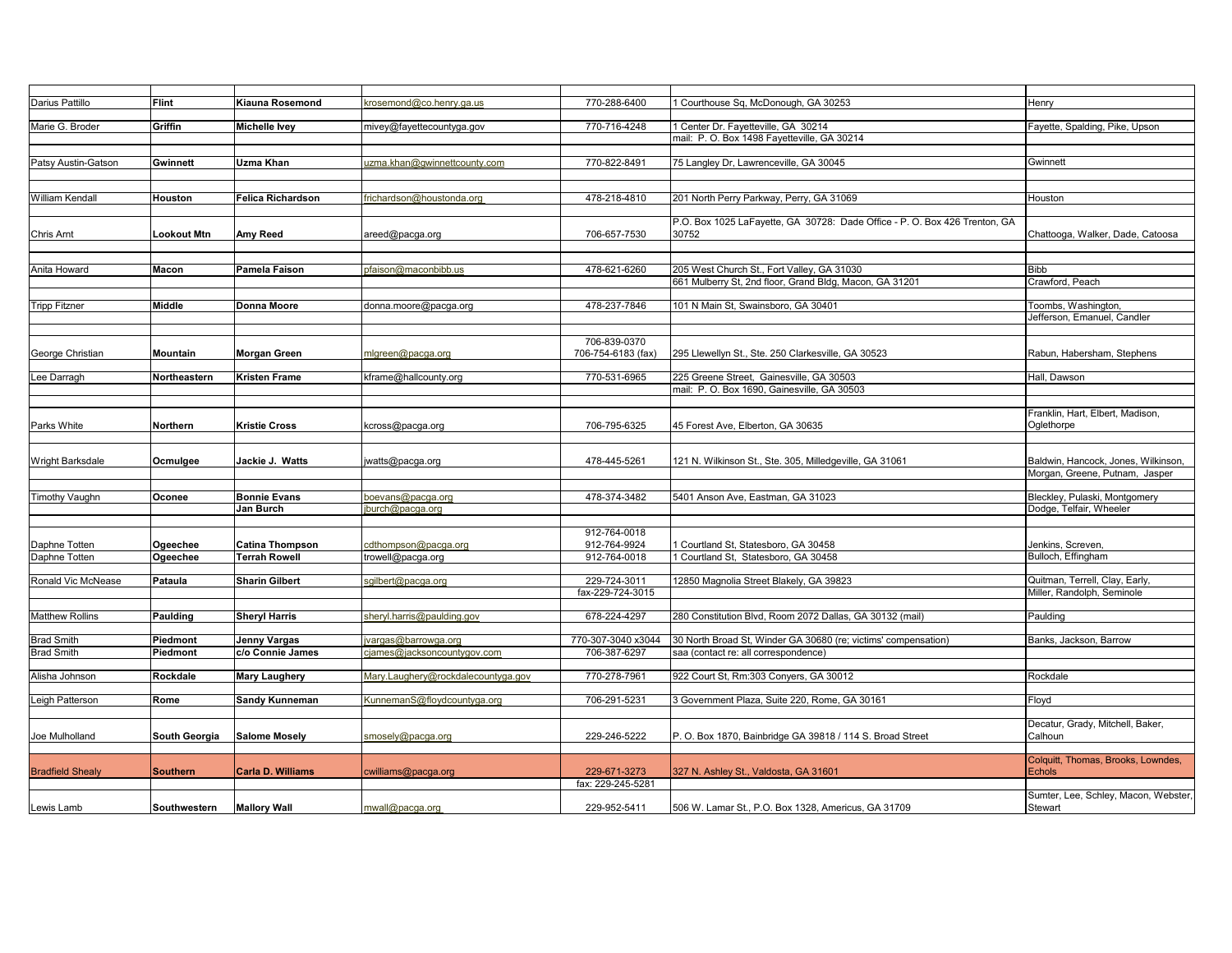| Darius Pattillo         | <b>Flint</b>         | Kiauna Rosemond      | srosemond@co.henry.ga.us           | 770-288-6400       | Courthouse Sq, McDonough, GA 30253                                         | Henrv                                |
|-------------------------|----------------------|----------------------|------------------------------------|--------------------|----------------------------------------------------------------------------|--------------------------------------|
|                         |                      |                      |                                    |                    |                                                                            |                                      |
| Marie G. Broder         | Griffin              | Michelle Ivey        | mivey@fayettecountyga.gov          | 770-716-4248       | Center Dr. Fayetteville, GA 30214                                          | Fayette, Spalding, Pike, Upson       |
|                         |                      |                      |                                    |                    | mail: P. O. Box 1498 Fayetteville, GA 30214                                |                                      |
|                         |                      |                      |                                    |                    |                                                                            |                                      |
| Patsy Austin-Gatson     | Gwinnett             | Uzma Khan            | uzma.khan@gwinnettcounty.com       | 770-822-8491       | 75 Langley Dr, Lawrenceville, GA 30045                                     | Gwinnett                             |
|                         |                      |                      |                                    |                    |                                                                            |                                      |
|                         |                      |                      |                                    |                    |                                                                            |                                      |
| William Kendall         | Houston              | Felica Richardson    | frichardson@houstonda.org          | 478-218-4810       | 201 North Perry Parkway, Perry, GA 31069                                   | Houston                              |
|                         |                      |                      |                                    |                    |                                                                            |                                      |
|                         |                      |                      |                                    |                    | P.O. Box 1025 LaFayette, GA 30728: Dade Office - P. O. Box 426 Trenton, GA |                                      |
| Chris Arnt              | Lookout Mtn          | Amy Reed             | areed@pacga.org                    | 706-657-7530       | 30752                                                                      | Chattooga, Walker, Dade, Catoosa     |
|                         |                      |                      |                                    |                    |                                                                            |                                      |
|                         |                      |                      |                                    |                    |                                                                            |                                      |
| Anita Howard            | Macon                | Pamela Faison        | pfaison@maconbibb.us               | 478-621-6260       | 205 West Church St., Fort Valley, GA 31030                                 | <b>Bibb</b>                          |
|                         |                      |                      |                                    |                    | 661 Mulberry St, 2nd floor, Grand Bldg, Macon, GA 31201                    | Crawford, Peach                      |
|                         |                      |                      |                                    |                    |                                                                            |                                      |
| <b>Tripp Fitzner</b>    | <b>Middle</b>        | Donna Moore          | donna.moore@pacga.org              | 478-237-7846       | 101 N Main St, Swainsboro, GA 30401                                        | Toombs, Washington,                  |
|                         |                      |                      |                                    |                    |                                                                            | Jefferson, Emanuel, Candler          |
|                         |                      |                      |                                    |                    |                                                                            |                                      |
|                         |                      |                      |                                    | 706-839-0370       |                                                                            |                                      |
| George Christian        | Mountain             | Morgan Green         | mlgreen@pacga.org                  | 706-754-6183 (fax) | 295 Llewellyn St., Ste. 250 Clarkesville, GA 30523                         | Rabun, Habersham, Stephens           |
|                         |                      |                      |                                    |                    |                                                                            |                                      |
| Lee Darragh             | Northeastern         | Kristen Frame        | kframe@hallcounty.org              | 770-531-6965       | 225 Greene Street, Gainesville, GA 30503                                   | Hall, Dawson                         |
|                         |                      |                      |                                    |                    | mail: P. O. Box 1690, Gainesville, GA 30503                                |                                      |
|                         |                      |                      |                                    |                    |                                                                            |                                      |
|                         |                      |                      |                                    |                    |                                                                            | Franklin, Hart, Elbert, Madison,     |
| Parks White             | Northern             | Kristie Cross        | kcross@pacga.org                   | 706-795-6325       | 45 Forest Ave, Elberton, GA 30635                                          | Oglethorpe                           |
|                         |                      |                      |                                    |                    |                                                                            |                                      |
|                         |                      |                      |                                    |                    |                                                                            |                                      |
| Wright Barksdale        | Ocmulgee             | Jackie J. Watts      | watts@pacga.org                    | 478-445-5261       | 121 N. Wilkinson St., Ste. 305, Milledgeville, GA 31061                    | Baldwin, Hancock, Jones, Wilkinson,  |
|                         |                      |                      |                                    |                    |                                                                            | Morgan, Greene, Putnam, Jasper       |
|                         |                      |                      |                                    |                    |                                                                            |                                      |
| <b>Timothy Vaughn</b>   | Oconee               | <b>Bonnie Evans</b>  | boevans@pacga.org                  | 478-374-3482       | 5401 Anson Ave, Eastman, GA 31023                                          | Bleckley, Pulaski, Montgomery        |
|                         |                      | Jan Burch            | burch@pacga.org                    |                    |                                                                            | Dodge, Telfair, Wheeler              |
|                         |                      |                      |                                    |                    |                                                                            |                                      |
|                         |                      |                      |                                    | 912-764-0018       |                                                                            |                                      |
| Daphne Totten           | Ogeechee             | Catina Thompson      | cdthompson@pacqa.org               | 912-764-9924       | Courtland St, Statesboro, GA 30458                                         | Jenkins, Screven,                    |
| Daphne Totten           | Ogeechee             | <b>Terrah Rowell</b> | trowell@pacga.org                  | 912-764-0018       | 1 Courtland St. Statesboro, GA 30458                                       | Bulloch, Effingham                   |
|                         |                      |                      |                                    |                    |                                                                            |                                      |
| Ronald Vic McNease      | Pataula              | Sharin Gilbert       | sgilbert@pacga.org                 | 229-724-3011       | 12850 Magnolia Street Blakely, GA 39823                                    | Quitman, Terrell, Clay, Early,       |
|                         |                      |                      |                                    | fax-229-724-3015   |                                                                            | Miller, Randolph, Seminole           |
|                         |                      |                      |                                    |                    |                                                                            |                                      |
| <b>Matthew Rollins</b>  | Paulding             | <b>Sheryl Harris</b> | sheryl.harris@paulding.gov         | 678-224-4297       | 280 Constitution Blvd, Room 2072 Dallas, GA 30132 (mail)                   | Paulding                             |
|                         |                      |                      |                                    |                    |                                                                            |                                      |
| <b>Brad Smith</b>       | Piedmont             | Jenny Vargas         | vargas@barrowga.org                | 770-307-3040 x3044 | 30 North Broad St, Winder GA 30680 (re; victims' compensation)             | Banks, Jackson, Barrow               |
| <b>Brad Smith</b>       | Piedmont             | c/o Connie James     | cjames@jacksoncountygov.com        | 706-387-6297       | saa (contact re: all correspondence)                                       |                                      |
|                         |                      |                      |                                    |                    |                                                                            |                                      |
| Alisha Johnson          | Rockdale             | Mary Laughery        | Mary.Laughery@rockdalecountyga.gov | 770-278-7961       | 922 Court St, Rm:303 Conyers, GA 30012                                     | Rockdale                             |
|                         |                      |                      |                                    |                    |                                                                            |                                      |
| Leigh Patterson         | Rome                 | Sandy Kunneman       | KunnemanS@floydcountyga.org        | 706-291-5231       | 3 Government Plaza, Suite 220, Rome, GA 30161                              | Floyd                                |
|                         |                      |                      |                                    |                    |                                                                            |                                      |
|                         |                      |                      |                                    |                    |                                                                            | Decatur, Grady, Mitchell, Baker,     |
| Joe Mulholland          | <b>South Georgia</b> | <b>Salome Mosely</b> | smosely@pacqa.org                  | 229-246-5222       | P. O. Box 1870, Bainbridge GA 39818 / 114 S. Broad Street                  | Calhoun                              |
|                         |                      |                      |                                    |                    |                                                                            |                                      |
|                         |                      |                      |                                    |                    |                                                                            | Colquitt, Thomas, Brooks, Lowndes,   |
| <b>Bradfield Shealy</b> | <b>Southern</b>      | Carla D. Williams    | cwilliams@pacga.org                | 229-671-3273       | 327 N. Ashley St., Valdosta, GA 31601                                      | <b>Echols</b>                        |
|                         |                      |                      |                                    | fax: 229-245-5281  |                                                                            |                                      |
|                         |                      |                      |                                    |                    |                                                                            | Sumter, Lee, Schley, Macon, Webster, |
| Lewis Lamb              | Southwestern         | <b>Mallory Wall</b>  | mwall@pacqa.org                    | 229-952-5411       | 506 W. Lamar St., P.O. Box 1328, Americus, GA 31709                        | Stewart                              |
|                         |                      |                      |                                    |                    |                                                                            |                                      |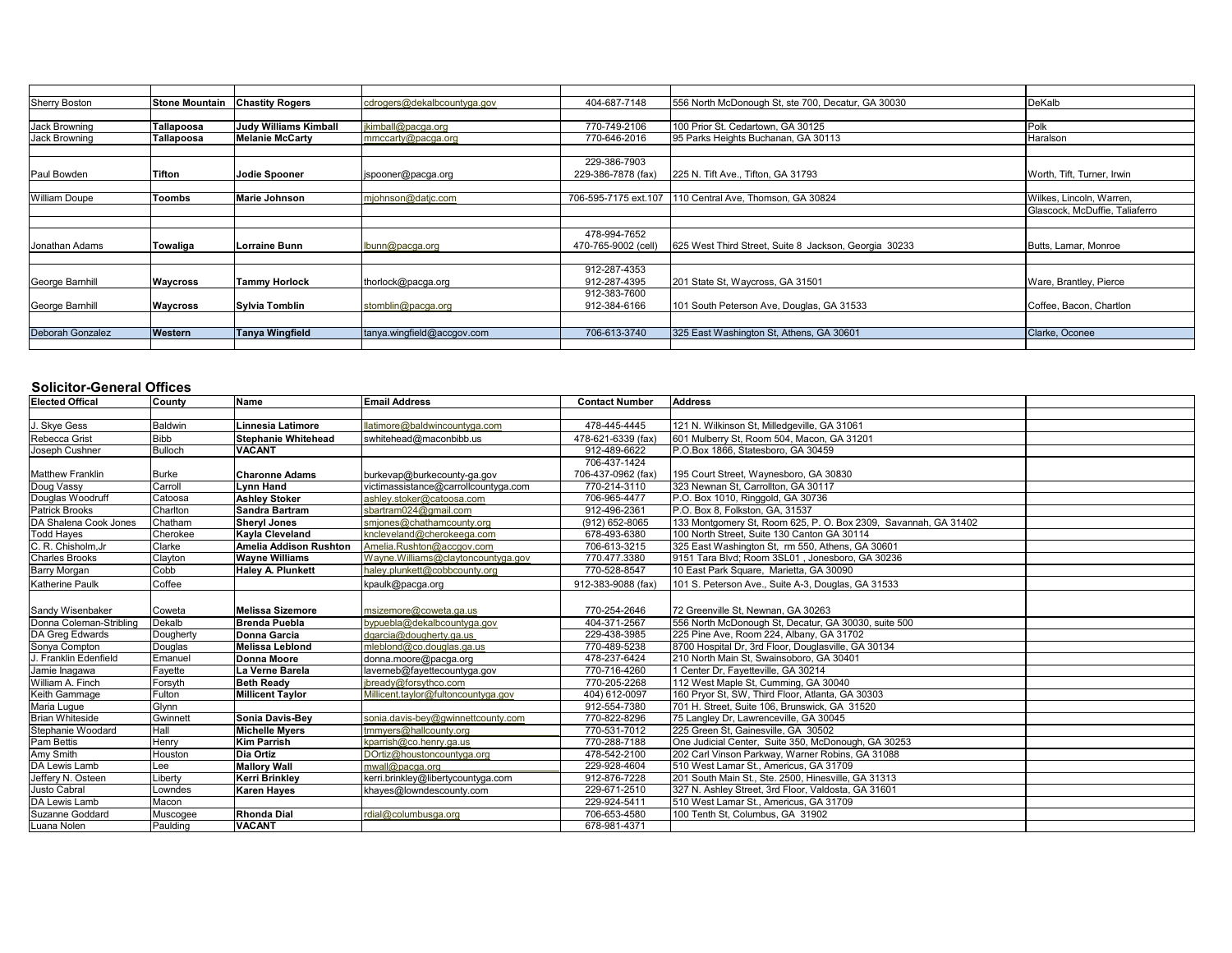| <b>Sherry Boston</b> | <b>Stone Mountain</b> | <b>Chastity Rogers</b>       | cdrogers@dekalbcountyga.gov | 404-687-7148         | 556 North McDonough St, ste 700, Decatur, GA 30030    | DeKalb                         |
|----------------------|-----------------------|------------------------------|-----------------------------|----------------------|-------------------------------------------------------|--------------------------------|
|                      |                       |                              |                             |                      |                                                       |                                |
| Jack Browning        | Tallapoosa            | <b>Judy Williams Kimball</b> | jkimball@pacga.org          | 770-749-2106         | 100 Prior St. Cedartown, GA 30125                     | Polk                           |
| Jack Browning        | Tallapoosa            | <b>Melanie McCarty</b>       | mmccarty@pacga.org          | 770-646-2016         | 95 Parks Heights Buchanan, GA 30113                   | Haralson                       |
|                      |                       |                              |                             |                      |                                                       |                                |
|                      |                       |                              |                             | 229-386-7903         |                                                       |                                |
| Paul Bowden          | <b>Tifton</b>         | Jodie Spooner                | jspooner@pacga.org          | 229-386-7878 (fax)   | 225 N. Tift Ave., Tifton, GA 31793                    | Worth, Tift, Turner, Irwin     |
|                      |                       |                              |                             |                      |                                                       |                                |
| <b>William Doupe</b> | <b>Toombs</b>         | <b>Marie Johnson</b>         | mjohnson@datjc.com          | 706-595-7175 ext.107 | 110 Central Ave. Thomson. GA 30824                    | Wilkes, Lincoln, Warren.       |
|                      |                       |                              |                             |                      |                                                       | Glascock, McDuffie, Taliaferro |
|                      |                       |                              |                             |                      |                                                       |                                |
|                      |                       |                              |                             | 478-994-7652         |                                                       |                                |
| Jonathan Adams       | Towaliga              | Lorraine Bunn                | bunn@pacqa.org              | 470-765-9002 (cell)  | 625 West Third Street, Suite 8 Jackson, Georgia 30233 | Butts, Lamar, Monroe           |
|                      |                       |                              |                             |                      |                                                       |                                |
|                      |                       |                              |                             | 912-287-4353         |                                                       |                                |
| George Barnhill      | Waycross              | <b>Tammy Horlock</b>         | thorlock@pacga.org          | 912-287-4395         | 201 State St, Waycross, GA 31501                      | Ware, Brantley, Pierce         |
|                      |                       |                              |                             | 912-383-7600         |                                                       |                                |
| George Barnhill      | Waycross              | Sylvia Tomblin               | stomblin@pacga.org          | 912-384-6166         | 101 South Peterson Ave, Douglas, GA 31533             | Coffee, Bacon, Chartlon        |
|                      |                       |                              |                             |                      |                                                       |                                |
| Deborah Gonzalez     | Western               | Tanya Wingfield              | tanya.wingfield@accgov.com  | 706-613-3740         | 325 East Washington St, Athens, GA 30601              | Clarke, Oconee                 |
|                      |                       |                              |                             |                      |                                                       |                                |

### **Solicitor-General Offices**

| <b>Elected Offical</b>  | County         | Name                          | <b>Email Address</b>                 | <b>Contact Number</b> | <b>Address</b>                                                  |  |
|-------------------------|----------------|-------------------------------|--------------------------------------|-----------------------|-----------------------------------------------------------------|--|
|                         |                |                               |                                      |                       |                                                                 |  |
| J. Skye Gess            | <b>Baldwin</b> | Linnesia Latimore             | llatimore@baldwincountyga.com        | 478-445-4445          | 121 N. Wilkinson St, Milledgeville, GA 31061                    |  |
| Rebecca Grist           | <b>Bibb</b>    | <b>Stephanie Whitehead</b>    | swhitehead@maconbibb.us              | 478-621-6339 (fax)    | 601 Mulberry St. Room 504, Macon, GA 31201                      |  |
| Joseph Cushner          | <b>Bulloch</b> | <b>VACANT</b>                 |                                      | 912-489-6622          | P.O.Box 1866, Statesboro, GA 30459                              |  |
|                         |                |                               |                                      | 706-437-1424          |                                                                 |  |
| <b>Matthew Franklin</b> | <b>Burke</b>   | <b>Charonne Adams</b>         | burkevap@burkecounty-ga.gov          | 706-437-0962 (fax)    | 195 Court Street, Waynesboro, GA 30830                          |  |
| Doug Vassy              | Carroll        | <b>Lynn Hand</b>              | victimassistance@carrollcountyga.com | 770-214-3110          | 323 Newnan St. Carrollton, GA 30117                             |  |
| Douglas Woodruff        | Catoosa        | <b>Ashley Stoker</b>          | ashley.stoker@catoosa.com            | 706-965-4477          | P.O. Box 1010, Ringgold, GA 30736                               |  |
| Patrick Brooks          | Charlton       | <b>Sandra Bartram</b>         | sbartram024@gmail.com                | 912-496-2361          | P.O. Box 8, Folkston, GA, 31537                                 |  |
| DA Shalena Cook Jones   | Chatham        | <b>Sheryl Jones</b>           | smjones@chathamcounty.org            | (912) 652-8065        | 133 Montgomery St, Room 625, P. O. Box 2309, Savannah, GA 31402 |  |
| <b>Todd Hayes</b>       | Cherokee       | Kayla Cleveland               | kncleveland@cherokeega.com           | 678-493-6380          | 100 North Street. Suite 130 Canton GA 30114                     |  |
| C. R. Chisholm, Jr.     | Clarke         | <b>Amelia Addison Rushton</b> | Amelia.Rushton@accgov.com            | 706-613-3215          | 325 East Washington St. rm 550, Athens, GA 30601                |  |
| <b>Charles Brooks</b>   | Clayton        | <b>Wavne Williams</b>         | Wayne.Williams@claytoncountyga.gov   | 770.477.3380          | 9151 Tara Blvd: Room 3SL01, Jonesboro, GA 30236                 |  |
| <b>Barry Morgan</b>     | Cobb           | <b>Haley A. Plunkett</b>      | haley.plunkett@cobbcounty.org        | 770-528-8547          | 10 East Park Square, Marietta, GA 30090                         |  |
| Katherine Paulk         | Coffee         |                               | kpaulk@pacga.org                     | 912-383-9088 (fax)    | 101 S. Peterson Ave., Suite A-3, Douglas, GA 31533              |  |
|                         |                |                               |                                      |                       |                                                                 |  |
| Sandy Wisenbaker        | Coweta         | <b>Melissa Sizemore</b>       | msizemore@coweta.ga.us               | 770-254-2646          | 72 Greenville St. Newnan, GA 30263                              |  |
| Donna Coleman-Stribling | Dekalb         | <b>Brenda Puebla</b>          | bypuebla@dekalbcountyga.gov          | 404-371-2567          | 556 North McDonough St, Decatur, GA 30030, suite 500            |  |
| DA Greg Edwards         | Dougherty      | Donna Garcia                  | dgarcia@dougherty.ga.us              | 229-438-3985          | 225 Pine Ave, Room 224, Albany, GA 31702                        |  |
| Sonya Compton           | Douglas        | Melissa Leblond               | mleblond@co.douglas.ga.us            | 770-489-5238          | 8700 Hospital Dr, 3rd Floor, Douglasville, GA 30134             |  |
| J. Franklin Edenfield   | Emanuel        | <b>Donna Moore</b>            | donna.moore@pacga.org                | 478-237-6424          | 210 North Main St, Swainsoboro, GA 30401                        |  |
| Jamie Inagawa           | Fayette        | La Verne Barela               | laverneb@fayettecountyga.gov         | 770-716-4260          | 1 Center Dr, Fayetteville, GA 30214                             |  |
| William A. Finch        | Forsyth        | <b>Beth Ready</b>             | ibready@forsythco.com                | 770-205-2268          | 112 West Maple St. Cumming, GA 30040                            |  |
| Keith Gammage           | Fulton         | <b>Millicent Taylor</b>       | Millicent.taylor@fultoncountyga.gov  | 404) 612-0097         | 160 Pryor St, SW, Third Floor, Atlanta, GA 30303                |  |
| Maria Lugue             | Glvnn          |                               |                                      | 912-554-7380          | 701 H. Street, Suite 106, Brunswick, GA 31520                   |  |
| <b>Brian Whiteside</b>  | Gwinnett       | Sonia Davis-Bey               | sonia.davis-bey@gwinnettcounty.com   | 770-822-8296          | 75 Langley Dr, Lawrenceville, GA 30045                          |  |
| Stephanie Woodard       | Hall           | <b>Michelle Myers</b>         | tmmyers@hallcounty.org               | 770-531-7012          | 225 Green St. Gainesville, GA 30502                             |  |
| <b>Pam Bettis</b>       | Henry          | <b>Kim Parrish</b>            | kparrish@co.henry.ga.us              | 770-288-7188          | One Judicial Center, Suite 350, McDonough, GA 30253             |  |
| Amy Smith               | Houston        | Dia Ortiz                     | DOrtiz@houstoncountyga.org           | 478-542-2100          | 202 Carl Vinson Parkway, Warner Robins, GA 31088                |  |
| DA Lewis Lamb           | Lee            | <b>Mallory Wall</b>           | mwall@pacqa.org                      | 229-928-4604          | 510 West Lamar St., Americus, GA 31709                          |  |
| Jeffery N. Osteen       | Liberty        | Kerri Brinkley                | kerri.brinkley@libertycountyga.com   | 912-876-7228          | 201 South Main St., Ste. 2500. Hinesville, GA 31313             |  |
| Justo Cabral            | Lowndes        | <b>Karen Hayes</b>            | khayes@lowndescounty.com             | 229-671-2510          | 327 N. Ashley Street, 3rd Floor, Valdosta, GA 31601             |  |
| DA Lewis Lamb           | Macon          |                               |                                      | 229-924-5411          | 510 West Lamar St., Americus, GA 31709                          |  |
| Suzanne Goddard         | Muscogee       | <b>Rhonda Dial</b>            | rdial@columbusga.org                 | 706-653-4580          | 100 Tenth St, Columbus, GA 31902                                |  |
| Luana Nolen             | Paulding       | <b>VACANT</b>                 |                                      | 678-981-4371          |                                                                 |  |